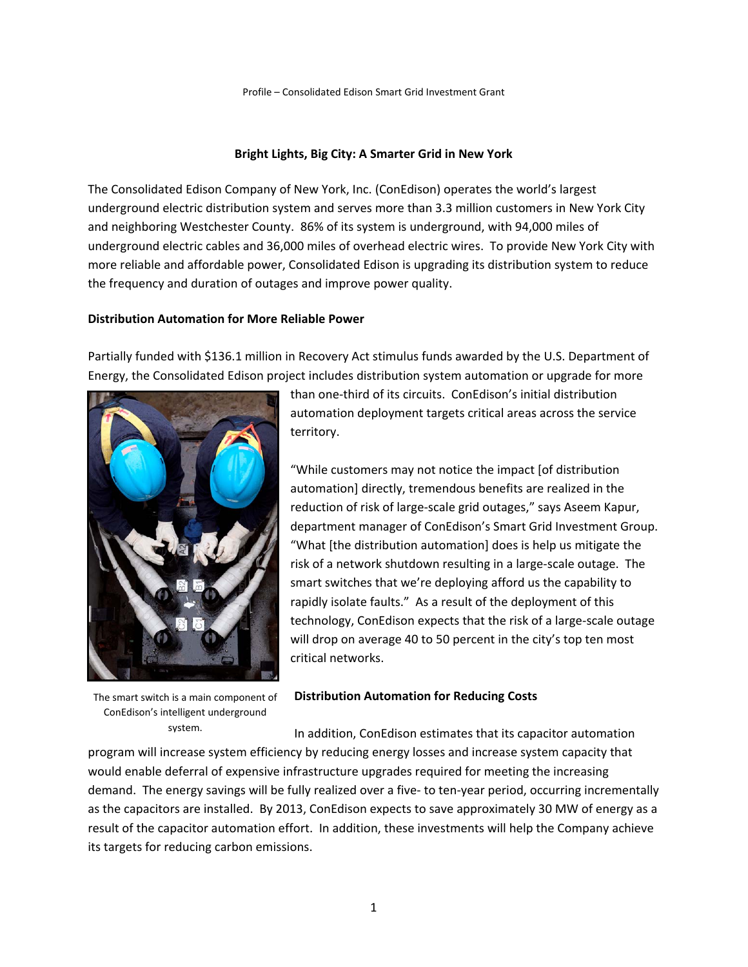# **Bright Lights, Big City: A Smarter Grid in New York**

The Consolidated Edison Company of New York, Inc. (ConEdison) operates the world's largest underground electric distribution system and serves more than 3.3 million customers in New York City and neighboring Westchester County. 86% of its system is underground, with 94,000 miles of underground electric cables and 36,000 miles of overhead electric wires. To provide New York City with more reliable and affordable power, Consolidated Edison is upgrading its distribution system to reduce the frequency and duration of outages and improve power quality.

## **Distribution Automation for More Reliable Power**

Partially funded with \$136.1 million in Recovery Act stimulus funds awarded by the U.S. Department of Energy, the Consolidated Edison project includes distribution system automation or upgrade for more



The smart switch is a main component of ConEdison's intelligent underground system.

than one‐third of its circuits. ConEdison's initial distribution automation deployment targets critical areas across the service territory.

"While customers may not notice the impact [of distribution automation] directly, tremendous benefits are realized in the reduction of risk of large‐scale grid outages," says Aseem Kapur, department manager of ConEdison's Smart Grid Investment Group. "What [the distribution automation] does is help us mitigate the risk of a network shutdown resulting in a large‐scale outage. The smart switches that we're deploying afford us the capability to rapidly isolate faults." As a result of the deployment of this technology, ConEdison expects that the risk of a large‐scale outage will drop on average 40 to 50 percent in the city's top ten most critical networks.

#### **Distribution Automation for Reducing Costs**

In addition, ConEdison estimates that its capacitor automation program will increase system efficiency by reducing energy losses and increase system capacity that would enable deferral of expensive infrastructure upgrades required for meeting the increasing demand. The energy savings will be fully realized over a five- to ten-year period, occurring incrementally as the capacitors are installed. By 2013, ConEdison expects to save approximately 30 MW of energy as a result of the capacitor automation effort. In addition, these investments will help the Company achieve its targets for reducing carbon emissions.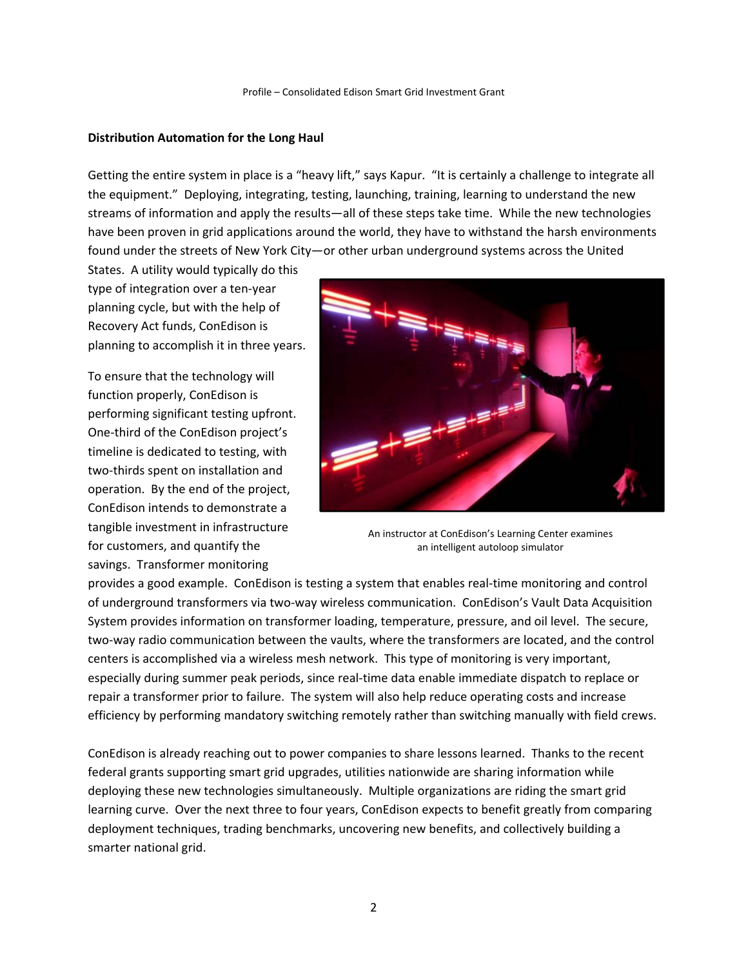### **Distribution Automation for the Long Haul**

Getting the entire system in place is a "heavy lift," says Kapur. "It is certainly a challenge to integrate all the equipment." Deploying, integrating, testing, launching, training, learning to understand the new streams of information and apply the results—all of these steps take time. While the new technologies have been proven in grid applications around the world, they have to withstand the harsh environments found under the streets of New York City—or other urban underground systems across the United

States. A utility would typically do this type of integration over a ten‐year planning cycle, but with the help of Recovery Act funds, ConEdison is planning to accomplish it in three years.

To ensure that the technology will function properly, ConEdison is performing significant testing upfront. One‐third of the ConEdison project's timeline is dedicated to testing, with two‐thirds spent on installation and operation. By the end of the project, ConEdison intends to demonstrate a tangible investment in infrastructure for customers, and quantify the savings. Transformer monitoring



An instructor at ConEdison's Learning Center examines an intelligent autoloop simulator

provides a good example. ConEdison is testing a system that enables real-time monitoring and control of underground transformers via two‐way wireless communication. ConEdison's Vault Data Acquisition System provides information on transformer loading, temperature, pressure, and oil level. The secure, two‐way radio communication between the vaults, where the transformers are located, and the control centers is accomplished via a wireless mesh network. This type of monitoring is very important, especially during summer peak periods, since real‐time data enable immediate dispatch to replace or repair a transformer prior to failure. The system will also help reduce operating costs and increase efficiency by performing mandatory switching remotely rather than switching manually with field crews.

ConEdison is already reaching out to power companies to share lessons learned. Thanks to the recent federal grants supporting smart grid upgrades, utilities nationwide are sharing information while deploying these new technologies simultaneously. Multiple organizations are riding the smart grid learning curve. Over the next three to four years, ConEdison expects to benefit greatly from comparing deployment techniques, trading benchmarks, uncovering new benefits, and collectively building a smarter national grid.